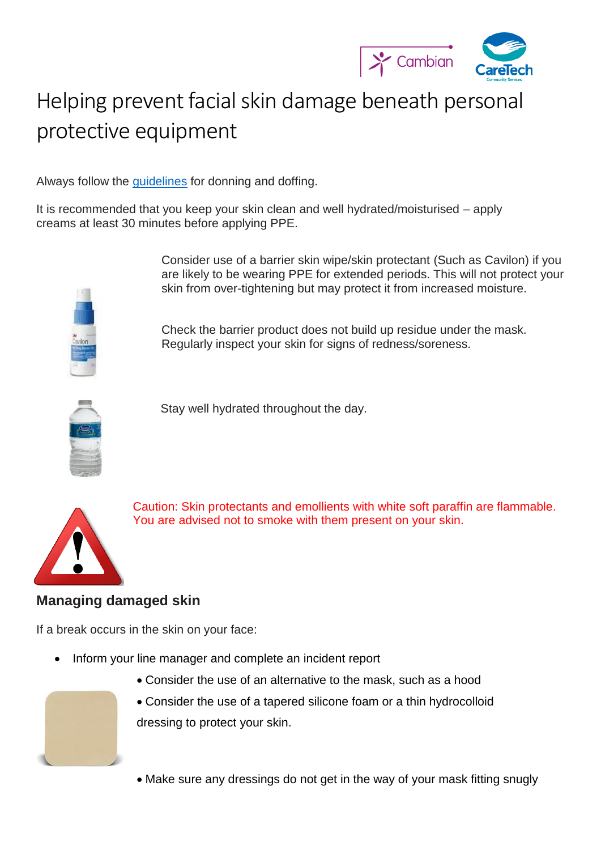

## Helping prevent facial skin damage beneath personal protective equipment

Always follow the [guidelines](https://www.gov.uk/government/publications/wuhan-novel-coronavirus-infection-prevention-and-control) for donning and doffing.

It is recommended that you keep your skin clean and well hydrated/moisturised – apply creams at least 30 minutes before applying PPE.



Consider use of a barrier skin wipe/skin protectant (Such as Cavilon) if you are likely to be wearing PPE for extended periods. This will not protect your skin from over-tightening but may protect it from increased moisture.

Check the barrier product does not build up residue under the mask. Regularly inspect your skin for signs of redness/soreness.



Stay well hydrated throughout the day.



Caution: Skin protectants and emollients with white soft paraffin are flammable. You are advised not to smoke with them present on your skin.

## **Managing damaged skin**

If a break occurs in the skin on your face:

- Inform your line manager and complete an incident report
	- Consider the use of an alternative to the mask, such as a hood
	- Consider the use of a tapered silicone foam or a thin hydrocolloid dressing to protect your skin.
	- Make sure any dressings do not get in the way of your mask fitting snugly